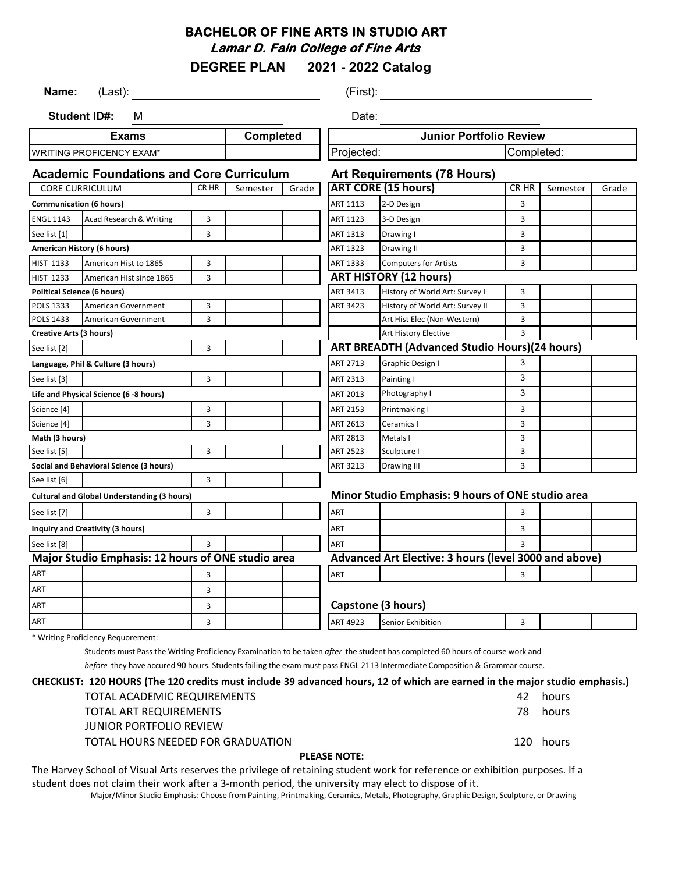## **BACHELOR OF FINE ARTS IN STUDIO ART Lamar D. Fain College of Fine Arts**

**DEGREE PLAN 2021 - 2022 Catalog**

| Name:<br>(Last):                                   |                                                    |                  | (First):                                          |                                |                                                       |                                                      |              |          |       |
|----------------------------------------------------|----------------------------------------------------|------------------|---------------------------------------------------|--------------------------------|-------------------------------------------------------|------------------------------------------------------|--------------|----------|-------|
| <b>Student ID#:</b><br>м<br>Date:                  |                                                    |                  |                                                   |                                |                                                       |                                                      |              |          |       |
| <b>Completed</b><br><b>Exams</b>                   |                                                    |                  |                                                   | <b>Junior Portfolio Review</b> |                                                       |                                                      |              |          |       |
|                                                    | <b>WRITING PROFICENCY EXAM*</b>                    |                  |                                                   |                                | Completed:<br>Projected:                              |                                                      |              |          |       |
|                                                    | <b>Academic Foundations and Core Curriculum</b>    |                  |                                                   |                                |                                                       | <b>Art Requirements (78 Hours)</b>                   |              |          |       |
|                                                    | <b>CORE CURRICULUM</b>                             | CR <sub>HR</sub> | Semester                                          | Grade                          |                                                       | <b>ART CORE (15 hours)</b>                           | CR HR        | Semester | Grade |
| <b>Communication (6 hours)</b>                     |                                                    |                  |                                                   |                                | ART 1113                                              | 2-D Design                                           | 3            |          |       |
| <b>ENGL 1143</b>                                   | Acad Research & Writing                            | 3                |                                                   |                                | ART 1123                                              | 3-D Design                                           | 3            |          |       |
| See list [1]                                       |                                                    | 3                |                                                   |                                | ART 1313                                              | Drawing I                                            | 3            |          |       |
|                                                    | American History (6 hours)                         |                  |                                                   |                                | ART 1323                                              | Drawing II                                           | 3            |          |       |
| <b>HIST 1133</b>                                   | American Hist to 1865                              | 3                |                                                   |                                | ART 1333                                              | <b>Computers for Artists</b>                         | 3            |          |       |
| <b>HIST 1233</b>                                   | American Hist since 1865                           | 3                |                                                   |                                |                                                       | <b>ART HISTORY (12 hours)</b>                        |              |          |       |
|                                                    | <b>Political Science (6 hours)</b>                 |                  |                                                   |                                | ART 3413                                              | History of World Art: Survey I                       | 3            |          |       |
| POLS 1333                                          | American Government                                | 3                |                                                   |                                | ART 3423                                              | History of World Art: Survey II                      | 3            |          |       |
| POLS 1433                                          | American Government                                | 3                |                                                   |                                |                                                       | Art Hist Elec (Non-Western)                          | 3            |          |       |
| <b>Creative Arts (3 hours)</b>                     |                                                    |                  |                                                   | Art History Elective           | 3                                                     |                                                      |              |          |       |
| See list [2]                                       |                                                    | 3                |                                                   |                                |                                                       | <b>ART BREADTH (Advanced Studio Hours)(24 hours)</b> |              |          |       |
|                                                    | Language, Phil & Culture (3 hours)                 |                  |                                                   |                                | ART 2713                                              | Graphic Design I                                     | 3            |          |       |
| See list [3]                                       |                                                    | 3                |                                                   |                                | ART 2313                                              | Painting I                                           | 3            |          |       |
|                                                    | Life and Physical Science (6 -8 hours)             |                  |                                                   |                                | ART 2013                                              | Photography I                                        | 3            |          |       |
| Science [4]                                        |                                                    | 3                |                                                   |                                | ART 2153                                              | Printmaking I                                        | 3            |          |       |
| Science [4]                                        |                                                    | 3                |                                                   |                                | ART 2613                                              | Ceramics I                                           | 3            |          |       |
| Math (3 hours)                                     |                                                    |                  |                                                   |                                | ART 2813                                              | Metals I                                             | 3            |          |       |
| See list [5]                                       |                                                    | 3                |                                                   |                                | <b>ART 2523</b>                                       | Sculpture I                                          | 3            |          |       |
|                                                    | Social and Behavioral Science (3 hours)            |                  |                                                   |                                | ART 3213                                              | Drawing III                                          | 3            |          |       |
| See list [6]                                       |                                                    | 3                |                                                   |                                |                                                       |                                                      |              |          |       |
| <b>Cultural and Global Understanding (3 hours)</b> |                                                    |                  | Minor Studio Emphasis: 9 hours of ONE studio area |                                |                                                       |                                                      |              |          |       |
| See list [7]                                       |                                                    | 3                |                                                   |                                | ART                                                   |                                                      | 3            |          |       |
|                                                    | Inquiry and Creativity (3 hours)                   |                  |                                                   |                                | ART                                                   |                                                      | 3            |          |       |
| See list [8]                                       |                                                    | $\mathbf{a}$     |                                                   |                                | ART                                                   |                                                      | $\mathbf{a}$ |          |       |
|                                                    | Major Studio Emphasis: 12 hours of ONE studio area |                  |                                                   |                                | Advanced Art Elective: 3 hours (level 3000 and above) |                                                      |              |          |       |
| ART                                                |                                                    | 3                |                                                   |                                | <b>ART</b>                                            |                                                      | $\mathbf{a}$ |          |       |
| <b>ART</b>                                         |                                                    | 3                |                                                   |                                |                                                       |                                                      |              |          |       |
| ART                                                |                                                    | 3                |                                                   |                                |                                                       | <b>Capstone (3 hours)</b>                            |              |          |       |
| ART                                                |                                                    | 3                |                                                   |                                | ART 4923                                              | Senior Exhibition                                    | 3            |          |       |
|                                                    |                                                    |                  |                                                   |                                |                                                       |                                                      |              |          |       |

\* Writing Proficiency Requorement:

Students must Pass the Writing Proficiency Examination to be taken *after* the student has completed 60 hours of course work and

*before* they have accured 90 hours. Students failing the exam must pass ENGL 2113 Intermediate Composition & Grammar course.

#### **CHECKLIST: 120 HOURS (The 120 credits must include 39 advanced hours, 12 of which are earned in the major studio emphasis.)**

|                     | <b>TOTAL ART REQUIREMENTS</b>     | 78. | hours     |  |
|---------------------|-----------------------------------|-----|-----------|--|
|                     | <b>JUNIOR PORTFOLIO REVIEW</b>    |     |           |  |
|                     | TOTAL HOURS NEEDED FOR GRADUATION |     | 120 hours |  |
| <b>PLEASE NOTE:</b> |                                   |     |           |  |

The Harvey School of Visual Arts reserves the privilege of retaining student work for reference or exhibition purposes. If a student does not claim their work after a 3-month period, the university may elect to dispose of it.

Major/Minor Studio Emphasis: Choose from Painting, Printmaking, Ceramics, Metals, Photography, Graphic Design, Sculpture, or Drawing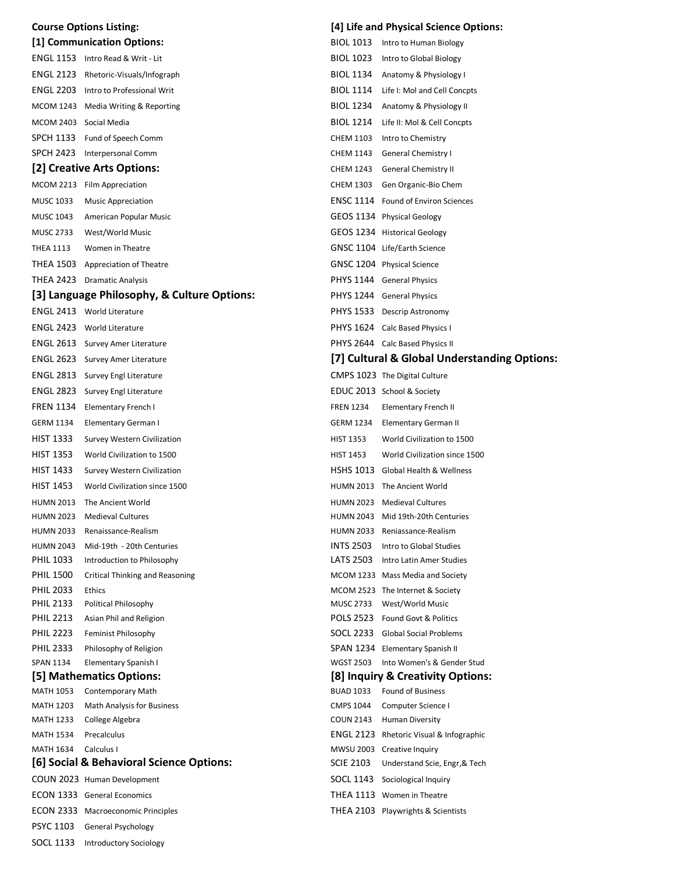| <b>Course Options Listing:</b> |                                                            |                  | [4] Life and Physical Science Options:                                       |  |  |  |
|--------------------------------|------------------------------------------------------------|------------------|------------------------------------------------------------------------------|--|--|--|
| [1] Communication Options:     |                                                            |                  | BIOL 1013 Intro to Human Biology                                             |  |  |  |
|                                | ENGL 1153 Intro Read & Writ - Lit                          | BIOL 1023        | Intro to Global Biology                                                      |  |  |  |
|                                | ENGL 2123 Rhetoric-Visuals/Infograph                       |                  | BIOL 1134 Anatomy & Physiology I                                             |  |  |  |
|                                | <b>ENGL 2203</b> Intro to Professional Writ                |                  | BIOL 1114 Life I: Mol and Cell Concpts                                       |  |  |  |
|                                | MCOM 1243 Media Writing & Reporting                        |                  | BIOL 1234 Anatomy & Physiology II                                            |  |  |  |
| MCOM 2403 Social Media         |                                                            |                  | BIOL 1214 Life II: Mol & Cell Concpts                                        |  |  |  |
|                                | SPCH 1133 Fund of Speech Comm                              | <b>CHEM 1103</b> | Intro to Chemistry                                                           |  |  |  |
|                                | SPCH 2423 Interpersonal Comm                               |                  | CHEM 1143 General Chemistry I                                                |  |  |  |
|                                | [2] Creative Arts Options:                                 |                  | CHEM 1243 General Chemistry II                                               |  |  |  |
|                                | MCOM 2213 Film Appreciation                                |                  | CHEM 1303 Gen Organic-Bio Chem                                               |  |  |  |
| MUSC 1033                      | <b>Music Appreciation</b>                                  |                  | ENSC 1114 Found of Environ Sciences                                          |  |  |  |
| MUSC 1043                      | American Popular Music                                     |                  | GEOS 1134 Physical Geology                                                   |  |  |  |
| <b>MUSC 2733</b>               | West/World Music                                           |                  | GEOS 1234 Historical Geology                                                 |  |  |  |
| <b>THEA 1113</b>               | Women in Theatre                                           |                  | GNSC 1104 Life/Earth Science                                                 |  |  |  |
|                                | THEA 1503 Appreciation of Theatre                          |                  | GNSC 1204 Physical Science                                                   |  |  |  |
|                                | THEA 2423 Dramatic Analysis                                |                  | PHYS 1144 General Physics                                                    |  |  |  |
|                                | [3] Language Philosophy, & Culture Options:                |                  | PHYS 1244 General Physics                                                    |  |  |  |
|                                | <b>ENGL 2413</b> World Literature                          |                  | PHYS 1533 Descrip Astronomy                                                  |  |  |  |
|                                | <b>ENGL 2423</b> World Literature                          |                  | PHYS 1624 Calc Based Physics I                                               |  |  |  |
|                                | ENGL 2613 Survey Amer Literature                           |                  | PHYS 2644 Calc Based Physics II                                              |  |  |  |
|                                | <b>ENGL 2623</b> Survey Amer Literature                    |                  | [7] Cultural & Global Understanding Options:                                 |  |  |  |
|                                | <b>ENGL 2813</b> Survey Engl Literature                    |                  | CMPS 1023 The Digital Culture                                                |  |  |  |
|                                | ENGL 2823 Survey Engl Literature                           |                  | EDUC 2013 School & Society                                                   |  |  |  |
|                                | FREN 1134 Elementary French I                              | <b>FREN 1234</b> | Elementary French II                                                         |  |  |  |
| <b>GERM 1134</b>               | Elementary German I                                        |                  | GERM 1234 Elementary German II                                               |  |  |  |
| <b>HIST 1333</b>               | <b>Survey Western Civilization</b>                         | <b>HIST 1353</b> | World Civilization to 1500                                                   |  |  |  |
| <b>HIST 1353</b>               |                                                            |                  | World Civilization since 1500                                                |  |  |  |
| HIST 1433                      | World Civilization to 1500                                 | <b>HIST 1453</b> | HSHS 1013 Global Health & Wellness                                           |  |  |  |
| <b>HIST 1453</b>               | <b>Survey Western Civilization</b>                         |                  |                                                                              |  |  |  |
|                                | World Civilization since 1500                              |                  | HUMN 2013 The Ancient World                                                  |  |  |  |
|                                | HUMN 2013 The Ancient World<br>HUMN 2023 Medieval Cultures |                  | HUMN 2023 Medieval Cultures                                                  |  |  |  |
| HUMN 2033                      | Renaissance-Realism                                        |                  | HUMN 2043 Mid 19th-20th Centuries<br>HUMN 2033 Reniassance-Realism           |  |  |  |
| <b>HUMN 2043</b>               | Mid-19th - 20th Centuries                                  | <b>INTS 2503</b> | Intro to Global Studies                                                      |  |  |  |
| <b>PHIL 1033</b>               | Introduction to Philosophy                                 | LATS 2503        | Intro Latin Amer Studies                                                     |  |  |  |
| <b>PHIL 1500</b>               | Critical Thinking and Reasoning                            |                  | MCOM 1233 Mass Media and Society                                             |  |  |  |
| <b>PHIL 2033</b>               | Ethics                                                     |                  | MCOM 2523 The Internet & Society                                             |  |  |  |
| <b>PHIL 2133</b>               | Political Philosophy                                       |                  | MUSC 2733 West/World Music                                                   |  |  |  |
| <b>PHIL 2213</b>               | Asian Phil and Religion                                    |                  | POLS 2523 Found Govt & Politics                                              |  |  |  |
| <b>PHIL 2223</b>               | Feminist Philosophy                                        |                  | SOCL 2233 Global Social Problems                                             |  |  |  |
| <b>PHIL 2333</b>               | Philosophy of Religion                                     |                  | SPAN 1234 Elementary Spanish II                                              |  |  |  |
| <b>SPAN 1134</b>               | Elementary Spanish I                                       | <b>WGST 2503</b> | Into Women's & Gender Stud                                                   |  |  |  |
|                                | [5] Mathematics Options:                                   |                  | [8] Inquiry & Creativity Options:                                            |  |  |  |
| MATH 1053                      | <b>Contemporary Math</b>                                   | <b>BUAD 1033</b> | <b>Found of Business</b>                                                     |  |  |  |
| <b>MATH 1203</b>               | Math Analysis for Business                                 | CMPS 1044        | Computer Science I                                                           |  |  |  |
| MATH 1233                      | College Algebra                                            | COUN 2143        | <b>Human Diversity</b>                                                       |  |  |  |
| <b>MATH 1534</b><br>MATH 1634  | Precalculus<br>Calculus I                                  |                  | <b>ENGL 2123</b> Rhetoric Visual & Infographic<br>MWSU 2003 Creative Inquiry |  |  |  |
|                                | [6] Social & Behavioral Science Options:                   | <b>SCIE 2103</b> | Understand Scie, Engr, & Tech                                                |  |  |  |
|                                | COUN 2023 Human Development                                |                  | SOCL 1143 Sociological Inquiry                                               |  |  |  |
|                                | <b>ECON 1333</b> General Economics                         |                  | THEA 1113 Women in Theatre                                                   |  |  |  |
|                                | <b>ECON 2333</b> Macroeconomic Principles                  |                  | THEA 2103 Playwrights & Scientists                                           |  |  |  |
| PSYC 1103                      | General Psychology                                         |                  |                                                                              |  |  |  |
|                                |                                                            |                  |                                                                              |  |  |  |

SOCL 1133 Introductory Sociology